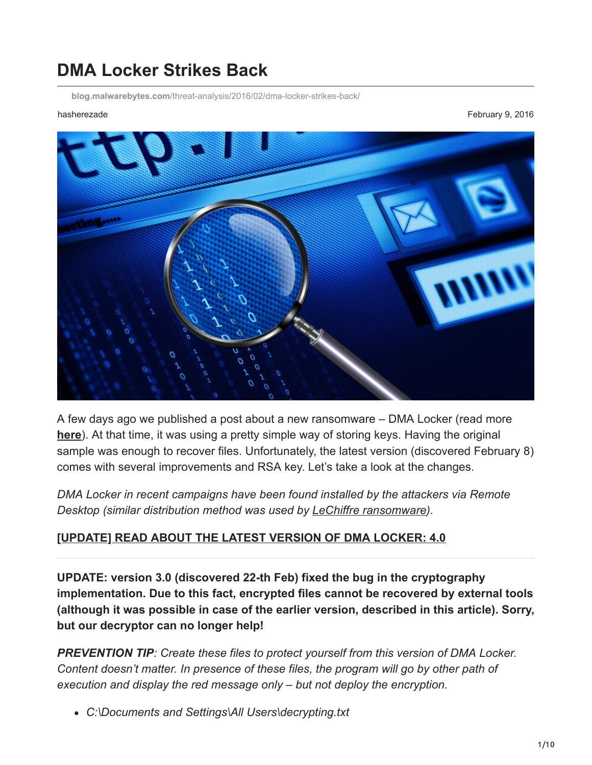# **DMA Locker Strikes Back**

**blog.malwarebytes.com**[/threat-analysis/2016/02/dma-locker-strikes-back/](https://blog.malwarebytes.com/threat-analysis/2016/02/dma-locker-strikes-back/)

hasherezade February 9, 2016



A few days ago we published a post about a new ransomware – DMA Locker (read more **[here](https://blog.malwarebytes.org/intelligence/2016/02/draft-dma-locker-a-new-ransomware-but-no-reason-to-panic/)**). At that time, it was using a pretty simple way of storing keys. Having the original sample was enough to recover files. Unfortunately, the latest version (discovered February 8) comes with several improvements and RSA key. Let's take a look at the changes.

*DMA Locker in recent campaigns have been found installed by the attackers via Remote Desktop (similar distribution method was used by [LeChiffre ransomware](https://blog.malwarebytes.org/threat-analysis/2016/01/lechiffre-a-manually-run-ransomware/)).*

#### **[\[UPDATE\] READ ABOUT THE LATEST VERSION OF DMA LOCKER: 4.0](https://blog.malwarebytes.org/threat-analysis/2016/05/dma-locker-4-0-known-ransomware-preparing-for-a-massive-distribution/)**

**UPDATE: version 3.0 (discovered 22-th Feb) fixed the bug in the cryptography implementation. Due to this fact, encrypted files cannot be recovered by external tools (although it was possible in case of the earlier version, described in this article). Sorry, but our decryptor can no longer help!**

*PREVENTION TIP: Create these files to protect yourself from this version of DMA Locker. Content doesn't matter. In presence of these files, the program will go by other path of execution and display the red message only – but not deploy the encryption.*

*C:\Documents and Settings\All Users\decrypting.txt*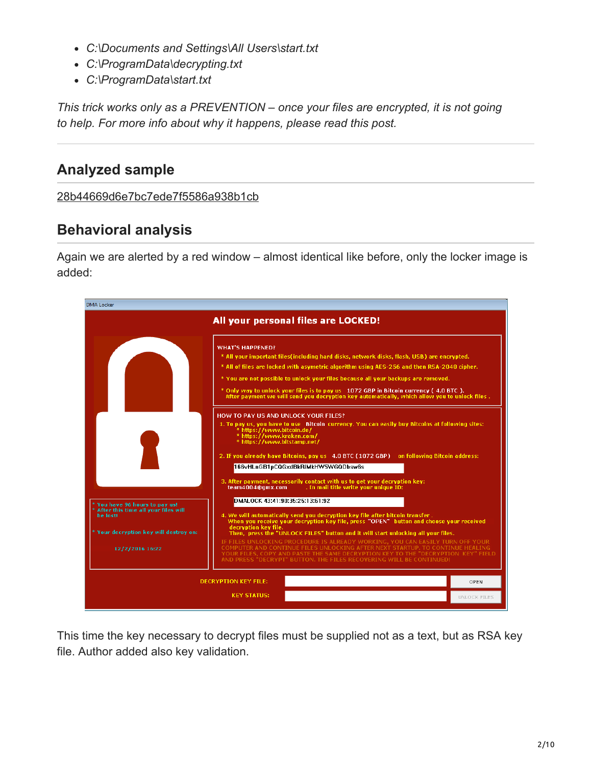- *C:\Documents and Settings\All Users\start.txt*
- *C:\ProgramData\decrypting.txt*
- *C:\ProgramData\start.txt*

*This trick works only as a PREVENTION – once your files are encrypted, it is not going to help. For more info about why it happens, please read this post.*

# **Analyzed sample**

### [28b44669d6e7bc7ede7f5586a938b1cb](https://www.virustotal.com/en/file/b7eeb0746b8e5df88c9937463db3f12a07ed3cf62ff720c6c91b8610080f2d9c/analysis/)

# **Behavioral analysis**

Again we are alerted by a red window – almost identical like before, only the locker image is added:

| DMA Locker                                                                                                                  |                                                                                                                                                                                                                                                                                                                                                                                                                                                                                                                                                                                                                                               |                     |
|-----------------------------------------------------------------------------------------------------------------------------|-----------------------------------------------------------------------------------------------------------------------------------------------------------------------------------------------------------------------------------------------------------------------------------------------------------------------------------------------------------------------------------------------------------------------------------------------------------------------------------------------------------------------------------------------------------------------------------------------------------------------------------------------|---------------------|
|                                                                                                                             | All your personal files are LOCKED!                                                                                                                                                                                                                                                                                                                                                                                                                                                                                                                                                                                                           |                     |
|                                                                                                                             | <b>WHAT'S HAPPENED?</b><br>* All your important files (including hard disks, network disks, flash, USB) are encrypted.<br>* All of files are locked with asymetric algorithm using AES-256 and then RSA-2048 cipher.<br>* You are not possible to unlock your files because all your backups are removed.<br>* Only way to unlock your files is to pay us 1072 GBP in Bitcoin currency (4.0 BTC).<br>After payment we will send you decryption key automatically, which allow you to unlock files.<br>HOW TO PAY US AND UNLOCK YOUR FILES?<br>1. To pay us, you have to use Bitcoin currency. You can easily buy Bitcoins at following sites: |                     |
|                                                                                                                             | * https://www.bitcoin.de/<br>* https://www.kraken.com/<br>* https://www.bitstamp.net/<br>2. If you already have Bitcoins, pay us 4.0 BTC (1072 GBP) on following Bitcoin address:<br>166vHLnGB1pCQGxdBkRiMkHW5WGQDbsw6s<br>3. After payment, necessarily contact with us to get your decryption key:<br>. In mail title write your unique ID:<br>team4004@gmx.com                                                                                                                                                                                                                                                                             |                     |
| * You have 96 hours to pay us!<br>After this time all your files will<br>he lost!<br>* Your decryption key will destroy on: | DMALOCK 43:41:90:35:25:13:61:92<br>4. We will automatically send you decryption key file after bitcoin transfer.<br>When you receive your decryption key file, press "OPEN" button and choose your received<br>decryption key file.<br>Then, press the "UNLOCK FILES" button and it will start unlocking all your files.                                                                                                                                                                                                                                                                                                                      |                     |
| 12/2/2016 16:22                                                                                                             | IF FILES UNLOCKING PROCEDURE IS ALREADY WORKING. YOU CAN EASILY TURN OFF YOUR<br>COMPLITER AND CONTINUE FILES UNLOCKING AFTER NEXT STARTUP. TO CONTINUE HEALING.<br>YOUR FILES, COPY AND PASTE THE SAME DECRYPTION KEY TO THE "DECRYPTION KEY" FIELD<br>AND PRESS "DECRYPT" BUTTON. THE FILES RECOVERING WILL BE CONTINUED!                                                                                                                                                                                                                                                                                                                   |                     |
|                                                                                                                             | <b>DECRYPTION KEY FILE:</b>                                                                                                                                                                                                                                                                                                                                                                                                                                                                                                                                                                                                                   | OPEN                |
|                                                                                                                             | <b>KEY STATUS:</b>                                                                                                                                                                                                                                                                                                                                                                                                                                                                                                                                                                                                                            | <b>UNLOCK FILES</b> |

This time the key necessary to decrypt files must be supplied not as a text, but as RSA key file. Author added also key validation.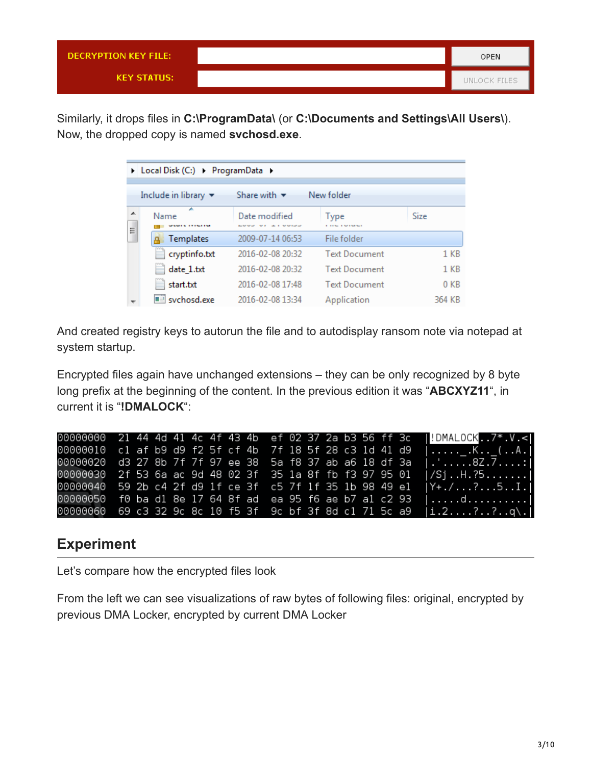| DECRYPTION KEY FILE: | <b>OPEN</b>  |
|----------------------|--------------|
| <b>KEY STATUS:</b>   | UNLOCK FILES |

Similarly, it drops files in **C:\ProgramData\** (or **C:\Documents and Settings\All Users\**). Now, the dropped copy is named **svchosd.exe**.

|        | ▶ Local Disk (C:) ▶ ProgramData ▶       |                                            |                           |                 |
|--------|-----------------------------------------|--------------------------------------------|---------------------------|-----------------|
|        | Include in library $\blacktriangledown$ | Share with $\blacktriangledown$            | New folder                |                 |
| ᇫ<br>I | A<br>Name<br>.                          | Date modified<br><b>CALIFORNIA COMPANY</b> | Type<br><b>CONTRACTOR</b> | Size            |
|        | Templates                               | 2009-07-14 06:53                           | File folder               |                 |
|        | cryptinfo.txt                           | 2016-02-08 20:32                           | <b>Text Document</b>      | $1$ KB          |
|        | date 1.txt                              | 2016-02-08 20:32                           | <b>Text Document</b>      | $1$ KB          |
|        | start.txt                               | 2016-02-08 17:48                           | <b>Text Document</b>      | 0 <sub>KB</sub> |
|        | svchosd.exe                             | 2016-02-08 13:34                           | Application               | 364 KB          |

And created registry keys to autorun the file and to autodisplay ransom note via notepad at system startup.

Encrypted files again have unchanged extensions – they can be only recognized by 8 byte long prefix at the beginning of the content. In the previous edition it was "**ABCXYZ11**", in current it is "**!DMALOCK**":

| 00000000 21 44 4d 41 4c 4f 43 4b ef 02 37 2a b3 56 ff 3c |  |  |  |  |  |  |  |  | $ !$ DMALOCK. $7^*$ V. |
|----------------------------------------------------------|--|--|--|--|--|--|--|--|------------------------|
| 00000010 c1 af b9 d9 f2 5f cf 4b 7f 18 5f 28 c3 1d 41 d9 |  |  |  |  |  |  |  |  |                        |
| 00000020 d3 27 8b 7f 7f 97 ee 38 5a f8 37 ab a6 18 df 3a |  |  |  |  |  |  |  |  | $ \cdot $ 8Z . 7 1     |
| 00000030 2f 53 6a ac 9d 48 02 3f 35 1a 8f fb f3 97 95 01 |  |  |  |  |  |  |  |  | $ /Si$ H. $.25$        |
| 00000040 59 2b c4 2f d9 1f ce 3f c5 7f 1f 35 1b 98 49 e1 |  |  |  |  |  |  |  |  | $ Y_{+}./?51. $        |
| 00000050 f0 ba d1 8e 17 64 8f ad ea 95 f6 ae b7 a1 c2 93 |  |  |  |  |  |  |  |  |                        |
| 00000060 69 c3 32 9c 8c 10 f5 3f 9c bf 3f 8d c1 71 5c a9 |  |  |  |  |  |  |  |  | i.2??q.                |

# **Experiment**

Let's compare how the encrypted files look

From the left we can see visualizations of raw bytes of following files: original, encrypted by previous DMA Locker, encrypted by current DMA Locker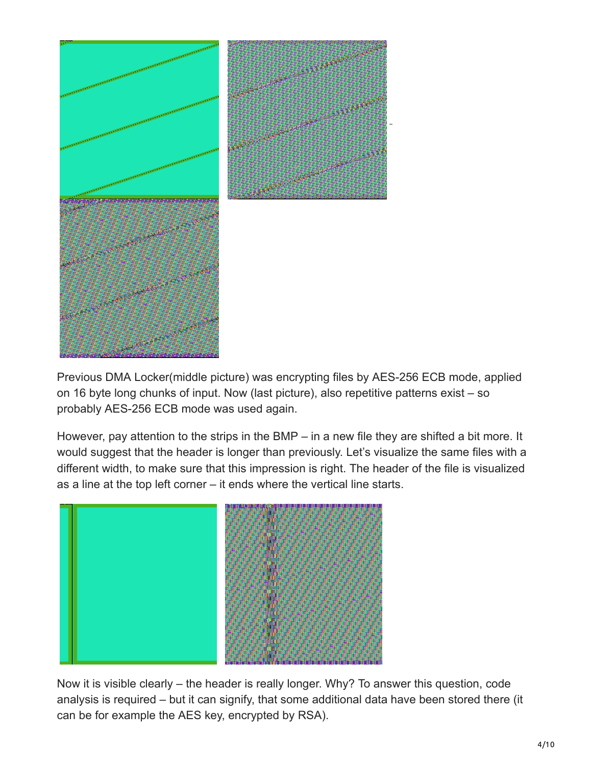

Previous DMA Locker(middle picture) was encrypting files by AES-256 ECB mode, applied on 16 byte long chunks of input. Now (last picture), also repetitive patterns exist – so probably AES-256 ECB mode was used again.

However, pay attention to the strips in the BMP – in a new file they are shifted a bit more. It would suggest that the header is longer than previously. Let's visualize the same files with a different width, to make sure that this impression is right. The header of the file is visualized as a line at the top left corner – it ends where the vertical line starts.



Now it is visible clearly – the header is really longer. Why? To answer this question, code analysis is required – but it can signify, that some additional data have been stored there (it can be for example the AES key, encrypted by RSA).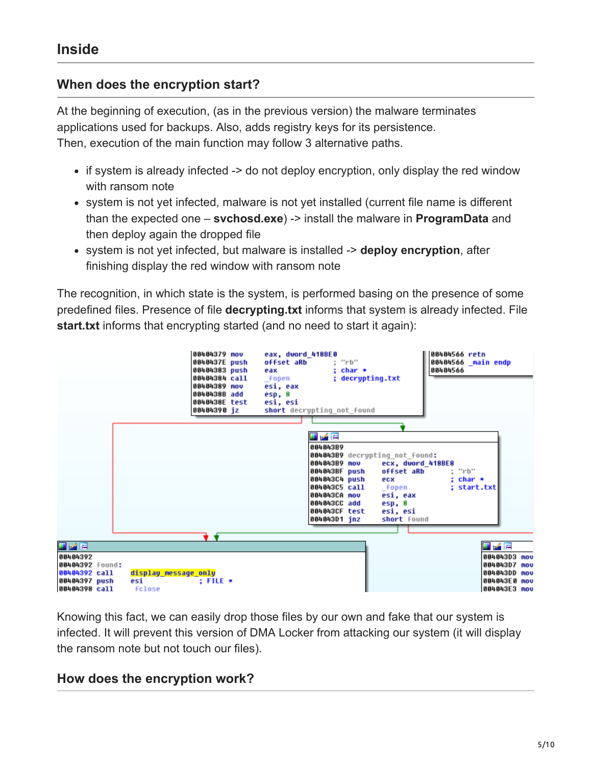## **When does the encryption start?**

At the beginning of execution, (as in the previous version) the malware terminates applications used for backups. Also, adds registry keys for its persistence. Then, execution of the main function may follow 3 alternative paths.

- if system is already infected -> do not deploy encryption, only display the red window with ransom note
- system is not yet infected, malware is not yet installed (current file name is different than the expected one – **svchosd.exe**) -> install the malware in **ProgramData** and then deploy again the dropped file
- system is not yet infected, but malware is installed -> **deploy encryption**, after finishing display the red window with ransom note

The recognition, in which state is the system, is performed basing on the presence of some predefined files. Presence of file **decrypting.txt** informs that system is already infected. File **start.txt** informs that encrypting started (and no need to start it again):



Knowing this fact, we can easily drop those files by our own and fake that our system is infected. It will prevent this version of DMA Locker from attacking our system (it will display the ransom note but not touch our files).

### **How does the encryption work?**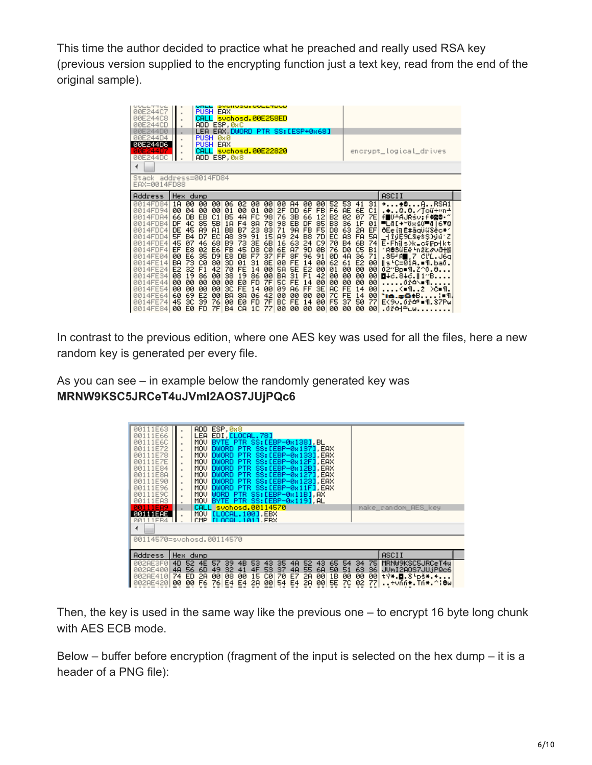This time the author decided to practice what he preached and really used RSA key (previous version supplied to the encrypting function just a text key, read from the end of the original sample).

| UULLTTUL<br>00E244C7<br>00E244C8<br>00E244CD<br>00E244D0<br>00E244D4<br>00E244D6<br>00E244D<br>00E244DC<br>∢<br>Stack address=0014FD84<br>EAX=0014FD88                                                          | $\alpha$<br>$\alpha$<br>٠<br>٠                                                                                                                                                                                                                 | <b>PUSH</b><br>CALL<br>CALL                                                                                                  | PUSH 0x0<br>PUSH EAX                                                                                           | <b>EAX</b><br>ADD ESP, 0xC<br>ADD ESP.0x8                                                                                      |                                                                                                                                     | <u>svunusu.ovczapup</u><br>svchosd.00E258ED<br>LEA EAX DWORD PTR SS:[ESP+0x68]<br>suchosd.00E22820                                                                                                                                               |                                                                                                           |                                                                                                                                       |                                                                                                                                        |                                                                                                                  |                                                                                                                                          |                                                                                                                                  |                                                                                                                |                                                                                                                 | encrypt_logical_drives                                                                                                                                                                                                                                                                                                                                                                                |
|-----------------------------------------------------------------------------------------------------------------------------------------------------------------------------------------------------------------|------------------------------------------------------------------------------------------------------------------------------------------------------------------------------------------------------------------------------------------------|------------------------------------------------------------------------------------------------------------------------------|----------------------------------------------------------------------------------------------------------------|--------------------------------------------------------------------------------------------------------------------------------|-------------------------------------------------------------------------------------------------------------------------------------|--------------------------------------------------------------------------------------------------------------------------------------------------------------------------------------------------------------------------------------------------|-----------------------------------------------------------------------------------------------------------|---------------------------------------------------------------------------------------------------------------------------------------|----------------------------------------------------------------------------------------------------------------------------------------|------------------------------------------------------------------------------------------------------------------|------------------------------------------------------------------------------------------------------------------------------------------|----------------------------------------------------------------------------------------------------------------------------------|----------------------------------------------------------------------------------------------------------------|-----------------------------------------------------------------------------------------------------------------|-------------------------------------------------------------------------------------------------------------------------------------------------------------------------------------------------------------------------------------------------------------------------------------------------------------------------------------------------------------------------------------------------------|
| Address                                                                                                                                                                                                         | Hex.                                                                                                                                                                                                                                           | dump                                                                                                                         |                                                                                                                |                                                                                                                                |                                                                                                                                     |                                                                                                                                                                                                                                                  |                                                                                                           |                                                                                                                                       |                                                                                                                                        |                                                                                                                  |                                                                                                                                          |                                                                                                                                  |                                                                                                                |                                                                                                                 | ASCII                                                                                                                                                                                                                                                                                                                                                                                                 |
| 0014FD84<br>4FD94<br>ØЙ<br>0014FDA4<br>0014FDB4<br>0014FDC4<br>0014FDD4<br>0014FDE4<br>0014FDF4<br>0014FE04<br>0014FE14<br>0014FE24<br>0014FE34<br>14FE44<br>ии<br>0014FE54<br>0014FE64<br>0014FE74<br>0014FE84 | 00<br>1 <sub>H</sub><br>00<br>04<br>DB<br>66<br>DF<br>4C<br><b>DE</b><br>45<br>5F<br><b>B4</b><br>45<br>07<br>E8<br>EF<br>E6<br>00<br>73<br>BA<br>E <sub>2</sub><br>32<br>08<br>19<br>00<br>øø<br>øø<br>øø<br>60<br>69<br>45<br>3C<br>EØ<br>øø | 00<br>00<br>EB<br>85<br><b>A9</b><br>D7<br>46<br>02<br>35<br>СØ<br>F1<br>86<br>00<br>00<br>E <sub>2</sub><br>39<br><b>FD</b> | 00<br>00<br>C1<br>58<br>A1<br>EC<br>68<br>E6<br>D <sub>9</sub><br>80<br>42<br>00<br>00<br>øø<br>00<br>76<br>7F | 06<br>01<br><b>B5</b><br>1A<br>BB<br>A8<br><b>B9</b><br><b>FB</b><br>E8<br>3D<br>70<br>38<br>00<br>зc<br>BA<br>00<br><b>B4</b> | 02<br>00<br>4A<br>F <sub>4</sub><br>B7<br>39<br>73<br>45<br>DB<br>01<br><b>FE</b><br>19<br>EØ<br><b>FE</b><br>8A<br>EØ<br><b>CA</b> | 00<br>-00<br>00<br>01<br>98<br>FC.<br>8A<br>78<br>23<br>83<br>91<br>15<br>3E<br>6B<br>СØ<br>D <sub>8</sub><br>F7<br>37<br>8E<br>31<br>14<br>00<br>86<br>00<br><b>FD</b><br>7F<br>00<br>14<br>06<br>42<br><b>FD</b><br>7F<br>1 <sup>C</sup><br>77 | 00<br>2F<br>76<br>98<br>71<br>89<br>16<br>6E<br>FF<br>00<br>5A<br>BA<br><b>50</b><br>09<br>00<br>BC<br>00 | A4<br><b>DD</b><br>3В<br>EB<br>9A<br>24<br>63<br><b>A7</b><br>8F<br><b>FE</b><br>5E<br>31<br><b>FE</b><br><b>A6</b><br>00<br>FE<br>00 | 00<br>6F<br>66<br>DF<br>FB<br>B <sub>8</sub><br>24<br>90<br>96<br>14<br>E <sub>2</sub><br>F <sub>1</sub><br>14<br>FF<br>00<br>14<br>00 | 00<br>FB.<br>12<br>85<br>F <sub>5</sub><br>7D<br>C9<br>ØB.<br>91<br>00<br>00<br>42<br>00<br>3E<br>00<br>00<br>øø | 52.<br>F6<br>B <sub>2</sub><br>B <sub>3</sub><br>D <sub>8</sub><br>EC<br>70<br>76<br>ØD<br>62<br>01<br>00<br>00<br>AC.<br>7С<br>F5<br>00 | 53.<br><b>AE</b><br>02<br>36<br>63<br>A3<br><b>B4</b><br>DØ.<br>4A<br>61<br>00<br>00<br>00<br><b>FE</b><br><b>FE</b><br>37<br>øø | 41<br>6E<br>07<br>1F<br>2A<br>FA<br>6B<br>C5<br>36<br>E <sub>2</sub><br>00<br>00<br>øø<br>14<br>14<br>50<br>øø | 31<br>C1<br>7E<br>01<br>EF<br>5A<br>74<br>B <sub>1</sub><br>71<br>00<br>00<br>00<br>00<br>-00<br>00<br>77<br>00 | + <del>1</del> 8ARSA1<br>.♦0.0.⁄Toũ÷«n∸<br>f■U+AJRsv; f # 9·<br><b>▀</b> Ĺ₫[+~ŏxśû▀₫ 6∀8<br>ôEe în Ē#āgüű\$ĕc#r<br>_HIQE9LSe\$S}QQ'Z<br>E-Fhils>k=c\$rpHkt<br>1 <b>Ŕ@SűEĕŀnžŁ∂vā<del>H</del>▒</b><br>.§54R∎,7 ClC.J6q<br>∥s <sup>i</sup> C=01A.•¶.baō.<br>02″Bp•¶.Z^0.0<br><b>⊡</b> ∔d.8∔d.∥1″B<br>.ŐřΔ\∎¶.<br><≡୩2 >c≡୩.<br><b>1a.sētB</b><br>.¦∎Պ.<br>E<9∪.0¥cº = ¶.87Pw<br>. 0 ř 어 <sup>쓰</sup> ㄴw |

In contrast to the previous edition, where one AES key was used for all the files, here a new random key is generated per every file.

As you can see – in example below the randomly generated key was **MRNW9KSC5JRCeT4uJVmI2AOS7JUjPQc6**

| MRNW9KSC5JRCeT4u                   |
|------------------------------------|
| tŸ <b>*.0.</b> 8-pš <b>*.+</b>     |
| JUmI2AOS7JUjPQc6<br>÷vnn*.Tn*.^¦@w |

Then, the key is used in the same way like the previous one – to encrypt 16 byte long chunk with AES ECB mode.

Below – buffer before encryption (fragment of the input is selected on the hex dump – it is a header of a PNG file):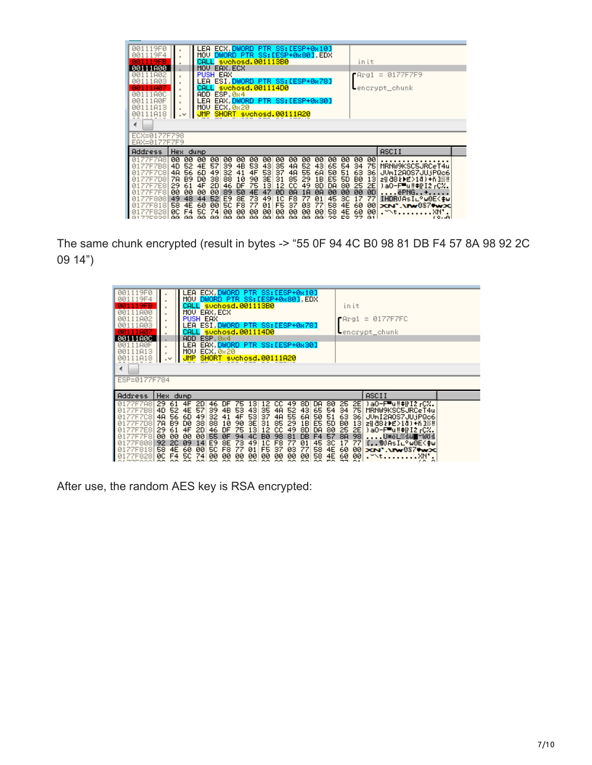| 001119F0<br>1119F4<br>ЙЙ<br>119FB<br>00111800<br>111802<br>ЙЙ<br>111A03<br>11007<br>11800<br>111A0F<br>11813<br>111818<br>ЙЙ<br>∢ | $\,$                                                      |                                                                 | LEA<br>ADD.<br>LEA<br>MOV                    | <b>PUSH EAX</b>                                                   | ECX.DWORD<br>MOV DWORD PTR SS:[ESP+0x80] EDX<br>CALL svchosd.001113B0<br>MOU EAX.ECX<br>LEA ESI DWORD PTR SS:[ESP+0x78]<br>svchosd.001114D0<br>ESP, 0x4<br>EAX, DWORD PTR SS: [ESP+0x30]<br>ECX. 0x20<br>SHORT svchosd.00111A20 |                                                            |                                                           |                                                     | PTR SS:[ESP+0x10]                                            |                                                           |                                                                       |                                                           |                                                               |                                                                  |                                                                 | init                                                       | $P = 0177F7F9$<br>$-$ encrypt_chunk                                                                                                                                                   |  |
|-----------------------------------------------------------------------------------------------------------------------------------|-----------------------------------------------------------|-----------------------------------------------------------------|----------------------------------------------|-------------------------------------------------------------------|---------------------------------------------------------------------------------------------------------------------------------------------------------------------------------------------------------------------------------|------------------------------------------------------------|-----------------------------------------------------------|-----------------------------------------------------|--------------------------------------------------------------|-----------------------------------------------------------|-----------------------------------------------------------------------|-----------------------------------------------------------|---------------------------------------------------------------|------------------------------------------------------------------|-----------------------------------------------------------------|------------------------------------------------------------|---------------------------------------------------------------------------------------------------------------------------------------------------------------------------------------|--|
| ECX=0177F798<br>EAX=0177F7F9                                                                                                      |                                                           |                                                                 |                                              |                                                                   |                                                                                                                                                                                                                                 |                                                            |                                                           |                                                     |                                                              |                                                           |                                                                       |                                                           |                                                               |                                                                  |                                                                 |                                                            |                                                                                                                                                                                       |  |
| Address                                                                                                                           | Hex.                                                      |                                                                 | dump                                         |                                                                   |                                                                                                                                                                                                                                 |                                                            |                                                           |                                                     |                                                              |                                                           |                                                                       |                                                           |                                                               |                                                                  |                                                                 |                                                            | ASCII                                                                                                                                                                                 |  |
| 77F7A8<br>Й1<br>77F7B8<br>7F7C8<br>7F7D8<br>7F7E8<br>7F7F8<br>77F808<br>01<br>7F818<br>828<br>01<br>77E000 <b>1</b>               | øø<br>4D<br>4A<br>7A<br>29<br>øø<br>49<br>58<br>ЙC<br>GG. | 00<br>52<br>56<br>B <sub>9</sub><br>61<br>øø<br>48<br>4E<br>GG. | 00<br>4E<br>6D<br>DØ<br>4F<br>øø<br>44<br>60 | øø<br>57<br>49<br>38<br>2D<br>øø<br>52<br>øø<br>74<br>laa laal aa | øø<br>39<br>32<br>88<br>46<br>89<br>E9<br><b>5C</b><br>øø                                                                                                                                                                       | 00.<br>4B<br>41<br>10<br>DF<br>50<br>8E<br>F8<br>ЙЙ<br>GG. | 00<br>53<br>4F<br>90<br>75<br>4F<br>73<br>77<br>ЙЙ<br>GG. | 00.<br>43<br>53<br>3E<br>13<br>47<br>49<br>01<br>ЙЙ | øø<br>35<br>37<br>31<br>12<br>ØD<br>1C<br>F5<br>ЙЙ<br>aal aa | øø<br>4A<br>4A<br>85<br>cс<br>ØЯ<br>F8<br>37<br>ЙЙ<br>GG. | 00<br>52<br>55<br>29<br>49<br>1 <sub>H</sub><br>77<br>øз<br>ЙЙ<br>GG. | øø<br>43<br>6A<br>1B<br>8D<br>ØA<br>01<br>77<br>øø<br>GG. | 00<br>65<br>50<br>E5<br>DA<br>00<br>45<br>58<br>58<br>$\circ$ | 00<br>54<br>51<br><b>5D</b><br>80<br>øø<br>зс<br>4E<br>4Ε<br>EO. | 00<br>34<br>63<br><b>BØ</b><br>25<br>00<br>17<br>60<br>60<br>77 | 00<br>75<br>36<br>13<br>2E<br>ØD<br>77<br>00<br>00<br>G1 I | MRNW9KSC5JRCeT4u<br>JUmI2AOS7JU.jPQc6<br>zi  88≵ ) £>10) +ň 1∭‼<br>)aO-F™u‼‡iFI2 rC%.<br>ëPNG+<br>IHDRUÄsI∟°w0E<≱w<br>XN'.\IW087#wx<br>.xm.<br>$. \forall \forall t \ldots$<br>(0, 0) |  |

The same chunk encrypted (result in bytes -> "55 0F 94 4C B0 98 81 DB F4 57 8A 98 92 2C 09 14")

| 001119F0<br>001119F4<br>1119FB<br>00111800<br>00111A02<br>00111A03<br>111807 |                       |             | LEA ECX,DWORD PTR SS:[ESP+0x10]<br>MOV DWORD PTR SS: [ESP+0x80], EDX<br>CALL suchosd.001113B0<br>MOV EAX.ECX<br>PUSH EAX<br>LEA ESI DWORD PTR SS:[ESP+0x78]<br>CALL svchosd.001114D0 |                        |                    |              |                 |                                |                    |                             |             |           |            |                                 | init | $P = 0177F7FC$<br>Lencrypt_chunk             |  |
|------------------------------------------------------------------------------|-----------------------|-------------|--------------------------------------------------------------------------------------------------------------------------------------------------------------------------------------|------------------------|--------------------|--------------|-----------------|--------------------------------|--------------------|-----------------------------|-------------|-----------|------------|---------------------------------|------|----------------------------------------------|--|
| 00111A0C                                                                     |                       |             | ADD ESP, 0x4                                                                                                                                                                         |                        |                    |              |                 |                                |                    |                             |             |           |            |                                 |      |                                              |  |
| 00111A0F                                                                     |                       |             | LEA EAX DWORD PTR SS:[ESP+0x30]                                                                                                                                                      |                        |                    |              |                 |                                |                    |                             |             |           |            |                                 |      |                                              |  |
| 111813                                                                       |                       | MOV.        |                                                                                                                                                                                      | ECX, 0x20              |                    |              |                 |                                |                    |                             |             |           |            |                                 |      |                                              |  |
| 111A18                                                                       | $\cdot$               | <b>JMP</b>  |                                                                                                                                                                                      | SHORT suchosd.00111A20 |                    |              |                 |                                |                    |                             |             |           |            |                                 |      |                                              |  |
|                                                                              |                       |             |                                                                                                                                                                                      |                        |                    |              |                 |                                |                    |                             |             |           |            |                                 |      |                                              |  |
| ∢                                                                            |                       |             |                                                                                                                                                                                      |                        |                    |              |                 |                                |                    |                             |             |           |            |                                 |      |                                              |  |
| ESP=0177F784                                                                 |                       |             |                                                                                                                                                                                      |                        |                    |              |                 |                                |                    |                             |             |           |            |                                 |      |                                              |  |
|                                                                              |                       |             |                                                                                                                                                                                      |                        |                    |              |                 |                                |                    |                             |             |           |            |                                 |      |                                              |  |
| Address                                                                      | Hex dump              |             |                                                                                                                                                                                      |                        |                    |              |                 |                                |                    |                             |             |           |            |                                 |      | ASCII                                        |  |
|                                                                              |                       |             |                                                                                                                                                                                      |                        |                    |              |                 |                                |                    |                             |             |           |            |                                 |      |                                              |  |
| 77F7A8<br>7F7B8                                                              | 29.<br>61<br>4D<br>52 | 4F<br>4E 57 | 2D                                                                                                                                                                                   | 46                     | <b>DF</b><br>4B 53 | 75           | 13              | 12                             | CC.                | 49.<br>52                   | 8D          | DA.       |            | 80 25                           |      | 2E Da0-F u !! #iFI2 rCX.<br>MRNW9KSC5JRCeT4u |  |
| 77F7C8                                                                       | 4A<br>56              | 6D          | 49                                                                                                                                                                                   | 39.<br>32              | 41                 |              | 43 <sub>1</sub> | 35                             | 4A                 |                             | 43          | 65        |            | 54 34 75                        |      | JUmI2A0S7JU.jPQc6                            |  |
| 7F7D8                                                                        | 7A                    |             | 38                                                                                                                                                                                   | 88 10                  |                    | 4F<br>90     | 53<br>3E 31     | 37                             | 4A<br>85           | $\frac{55}{29}$             |             |           |            |                                 |      | zil 88 kbE>18) +ñ 139!                       |  |
|                                                                              |                       | B9 D0       |                                                                                                                                                                                      |                        |                    |              |                 |                                |                    |                             |             |           |            |                                 |      |                                              |  |
| 77F7E8<br>01                                                                 | 29<br>61              | 4F          | 2D                                                                                                                                                                                   | 46                     | DF<br>ØF           | 75<br>94     | 13<br>4C        | $12 \overline{ }$<br><b>BØ</b> | cc<br>98           | 49                          |             |           |            |                                 |      | )aO-F™u‼‡iFI2 rCZ.                           |  |
| 77F7F8                                                                       | 00<br>00              | 00          | 00                                                                                                                                                                                   | 55                     |                    |              |                 |                                |                    | 81                          |             |           |            |                                 |      | U※öL※šü∎~Wŏś                                 |  |
| 77F808 92                                                                    |                       | 2C 09       | 14                                                                                                                                                                                   | E9                     | 8E                 | 73           | 49              | 1C                             | F8                 | 77                          | 01          | 45        | зс         | 17                              | 77   | f,.¶OAsI∟°w0E<≱w                             |  |
| 0177F818                                                                     | 58<br>4E              | 60          | øø                                                                                                                                                                                   | <b>50</b>              | F <sub>8</sub>     | 77           | 01              | F5                             | 37                 | øз                          | 77          | 58        |            | 4E 60                           | -001 | XN'.\IW087WxX                                |  |
| 0177F828                                                                     | øc<br>F4<br>--        | 50<br>      | 74<br>can l                                                                                                                                                                          | 00<br>CO.              | 00<br><b>COLLA</b> | 00<br>$\sim$ | 00              | 00<br>ool ool                  | 00<br><b>COLLA</b> | 00<br>company of the second | 00<br>CON L | 58<br>on. | 4E<br>$-1$ | -60<br>$\overline{\phantom{a}}$ | -00  | . <sup>-</sup> \tXN' .                       |  |

After use, the random AES key is RSA encrypted: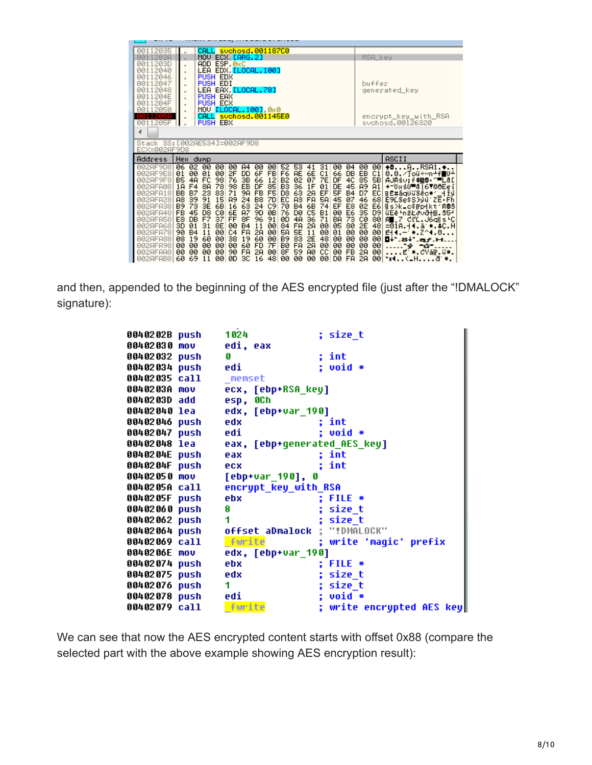| 00112035<br>0011203A<br>0011203D<br>00112040                                                                                                                         | CALL svchosd.001187C0<br>MOU ECX LARG.2]<br>ADD ESP, 0xC<br>LEA EDX [LOCAL.100]                                                                                                                                                                                                                                                                                                                                                                                                                                                                                                                                                                                                                                                                                                                                                                                                                                                                                                                                                                                                                                                                                                                                                                                                                                                                                                                                  | RSA_key                                                                                                                                                                                                                                                                                                                                                                                                                                                                              |
|----------------------------------------------------------------------------------------------------------------------------------------------------------------------|------------------------------------------------------------------------------------------------------------------------------------------------------------------------------------------------------------------------------------------------------------------------------------------------------------------------------------------------------------------------------------------------------------------------------------------------------------------------------------------------------------------------------------------------------------------------------------------------------------------------------------------------------------------------------------------------------------------------------------------------------------------------------------------------------------------------------------------------------------------------------------------------------------------------------------------------------------------------------------------------------------------------------------------------------------------------------------------------------------------------------------------------------------------------------------------------------------------------------------------------------------------------------------------------------------------------------------------------------------------------------------------------------------------|--------------------------------------------------------------------------------------------------------------------------------------------------------------------------------------------------------------------------------------------------------------------------------------------------------------------------------------------------------------------------------------------------------------------------------------------------------------------------------------|
| 00112046<br>00112047<br>00112048<br>0011204E                                                                                                                         | PUSH EDX<br>PUSH EDI<br>LEA EAX <mark>[LOCAL.78]</mark><br><b>PUSH EAX</b>                                                                                                                                                                                                                                                                                                                                                                                                                                                                                                                                                                                                                                                                                                                                                                                                                                                                                                                                                                                                                                                                                                                                                                                                                                                                                                                                       | buffer<br>generated_key                                                                                                                                                                                                                                                                                                                                                                                                                                                              |
| 0011204F<br>00112050<br>00112058<br>0011205F<br>∢                                                                                                                    | <b>PUSH ECX</b><br>٠<br>MOV [LOCAL.100] 0x0<br>$\blacksquare$<br>CALL suchosd.001145E0<br><b>PUSH EBX</b>                                                                                                                                                                                                                                                                                                                                                                                                                                                                                                                                                                                                                                                                                                                                                                                                                                                                                                                                                                                                                                                                                                                                                                                                                                                                                                        | encrypt_key_with_RSA<br>svchosd.00126320                                                                                                                                                                                                                                                                                                                                                                                                                                             |
| ECX=002AF9D8                                                                                                                                                         | Stack SS: [002AE534]=002AF9D8                                                                                                                                                                                                                                                                                                                                                                                                                                                                                                                                                                                                                                                                                                                                                                                                                                                                                                                                                                                                                                                                                                                                                                                                                                                                                                                                                                                    |                                                                                                                                                                                                                                                                                                                                                                                                                                                                                      |
| Address                                                                                                                                                              | Hex<br>dump                                                                                                                                                                                                                                                                                                                                                                                                                                                                                                                                                                                                                                                                                                                                                                                                                                                                                                                                                                                                                                                                                                                                                                                                                                                                                                                                                                                                      | ASCII                                                                                                                                                                                                                                                                                                                                                                                                                                                                                |
| 002AF9D8<br>002AF9E8<br>002AF9F8<br>002AFA08<br>002AFA18<br>002AFA28<br>002AFA38<br>002AFA48<br>002AFA58<br>002AFA68<br>002AFA78<br>002AFA88<br>002AFA98<br>002AFAA8 | 06 02 00<br>00<br>00<br>53<br>$\frac{31}{C1}$<br>04<br>A4<br>øø<br>00<br>52<br>41<br>00<br>00<br>2F<br>6F<br>6E<br>66<br>01<br>00<br>01<br>DD.<br><b>FB</b><br>F6 AE<br>DB.<br>98<br>76<br><b>B5</b><br>4A<br>FC<br>3B<br>66<br>7E<br>4C<br>12<br>02<br>07<br>DF<br><b>B2</b><br>78<br>8A<br>98<br>EB<br>DF<br>85<br>36<br>DE<br>45<br>F <sub>4</sub><br>B3<br>1F<br>01<br>1 <sub>H</sub><br>23<br>71<br>FB<br>83<br>9A<br>F5<br>D <sub>8</sub><br>63<br>2A<br>EF<br>5F<br><b>B4</b><br><b>BB</b><br>B7<br>5A<br>39<br>91<br>24<br>EC<br>A <sub>3</sub><br>07<br><b>A8</b><br>15<br>89<br>B8<br>FA<br>45<br>7D<br>E8<br>73<br>3E<br>6B<br>63<br>24<br>C9<br>74<br>EF<br><b>B9</b><br><b>B4</b><br>6B<br>16<br>70<br>E6<br>CØ.<br><b>A7</b><br>90<br>ØB<br>C5<br>00<br>FB.<br>45<br>D8<br>6E<br>76<br>DØ<br>B <sub>1</sub><br>73<br>F7<br>37<br>FF<br>8F<br>96<br>4A<br>71<br><b>BA</b><br>E8<br><b>DB</b><br>91<br>ØD<br>36<br><b>B4</b><br>FA<br>01<br>31<br>8E<br>00<br>00<br>2A<br>05<br>80<br>3D<br>11<br>84<br>00<br>00<br>5E<br>00<br>C4<br><b>FA</b><br>2A<br>5A<br>00<br>90<br><b>B4</b><br>11<br>11<br>00<br>01<br>00<br>83<br>2E<br>60<br>00<br>38<br>60<br>B9<br>48<br>00<br>00<br>08<br>19<br>19<br><b>FD</b><br>7F<br>00<br>00<br>00<br>60<br>BØ<br>FA<br>2A<br>00<br>00<br>00<br>øø<br>00<br>FA<br>59<br><b>FB</b><br>90<br>8F<br><b>CC</b><br>øø<br>00<br>00<br>00<br>2A<br>00<br><b>AØ</b><br>00 | -00<br>00<br>$+00$ RSA1. $+$<br>0.0./Jou+4n+f10+<br>EB<br>C1<br>85<br>AJRśv;f‡æ@∙~⊞L&D<br>5B <br><b>A9</b><br>A1<br>→~ŏxśO⊞đ 6∀0ôEei<br>D7<br>EC <br>nE#āqüűSĕc*′_iiy<br>E9LSesS)yu ZE Fh<br>46<br>68<br>02<br>E6 <br>is>k_c\$mpHkt1R@S<br>35<br>D <sub>9</sub><br>GEě -nžŁava+ 85-<br>СØ<br>80<br>R∎,7 ClC.J6q∥s≒C<br>2E<br>48<br>=01A.44.ä *.4C.H<br>00<br>$E = 4.74.8$<br>001<br>00<br>00<br>$\mathbf{F}$ . 8+ . af . H<br>00<br>00<br><b>Y</b> Yunda<br>2A<br>E #.CYā⊩.ű#.<br>00 |

and then, appended to the beginning of the AES encrypted file (just after the "!DMALOCK" signature):

| 0040202B push 1024   |                                     | ; size t                                      |
|----------------------|-------------------------------------|-----------------------------------------------|
|                      | 00402030 mov edi, eax               |                                               |
| 00402032 push        | G                                   | ; int                                         |
| 00402034 push edi    |                                     | $: void *$                                    |
| 00402035 call memset |                                     |                                               |
| 0040203A mov         | ecx, [ebp+RSA_key]                  |                                               |
| 0040203D add         | esp, OCh                            |                                               |
| 00402040 lea         | edx, [ebp+var_190]                  |                                               |
|                      | 00402046 push edx                   | ; int                                         |
| 00402047 push edi    |                                     | $: void *$                                    |
|                      |                                     | 00402048 lea     eax, [ebp+generated_AES_key] |
| 0040204E push        | eax                                 | ; int                                         |
| 0040204F push        | <b>PCX</b>                          | ; int                                         |
| 00402050 mov         | [ebp+var_190], 0                    |                                               |
| 0040205A call        | encrypt_key_with_RSA                |                                               |
| 0040205F push        | ebx                                 | ; FILE $*$                                    |
| 00402060 push        | 8                                   | ; size t                                      |
| 00402062 push        | 1                                   | ; size_t                                      |
|                      |                                     | 00402064 push offset aDmalock ; "!DMALOCK"    |
| 00402069 call        | <b>Furite</b>                       | ; write 'magic' prefix                        |
|                      | 0040206E mov     edx, [ebp+var_190] |                                               |
| 00402074 push        | ebx                                 | $;$ FILE $*$                                  |
| 00402075 push edx    |                                     | ; size t                                      |
| 00402076 push        | 1                                   | ; size_t                                      |
| 00402078 push edi    |                                     | $\cdot$ ; void $\ast$                         |
| 00402079 call        | fwrite                              | ; write encrypted AES key                     |
|                      |                                     |                                               |

We can see that now the AES encrypted content starts with offset 0x88 (compare the selected part with the above example showing AES encryption result):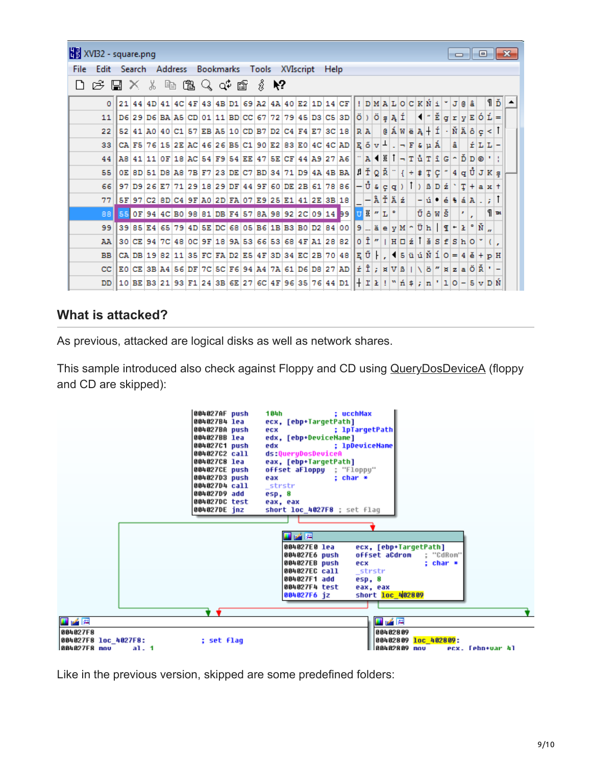|      | XVI32 - square.png<br>$\Box$ 0 $\mathbf{X}$                                                                                                    |                                                                                    |  |  |  |  |                                                                                    |  |  |  |  |  |  |  |  |  |                                                                                                                                               |         |                                                                                                                                                                                                         |                               |  |     |     |                                 |   |     |                                                                                                                                                                                                                                                                                                                                                                                                                                                                                                                                                |         |  |  |
|------|------------------------------------------------------------------------------------------------------------------------------------------------|------------------------------------------------------------------------------------|--|--|--|--|------------------------------------------------------------------------------------|--|--|--|--|--|--|--|--|--|-----------------------------------------------------------------------------------------------------------------------------------------------|---------|---------------------------------------------------------------------------------------------------------------------------------------------------------------------------------------------------------|-------------------------------|--|-----|-----|---------------------------------|---|-----|------------------------------------------------------------------------------------------------------------------------------------------------------------------------------------------------------------------------------------------------------------------------------------------------------------------------------------------------------------------------------------------------------------------------------------------------------------------------------------------------------------------------------------------------|---------|--|--|
| File | Address Bookmarks<br>Tools XVIscript<br>Edit<br>Help<br>- Search                                                                               |                                                                                    |  |  |  |  |                                                                                    |  |  |  |  |  |  |  |  |  |                                                                                                                                               |         |                                                                                                                                                                                                         |                               |  |     |     |                                 |   |     |                                                                                                                                                                                                                                                                                                                                                                                                                                                                                                                                                |         |  |  |
|      | 电磨人中度<br>∦ ≹?<br>$E \subseteq \mathbb{Z} \times \mathbb{R}$<br>$21  44  4D  41  4C  4F  43  4B  D1  69  A2  4A  40  E2  1D  14  CF$<br>! DMALO |                                                                                    |  |  |  |  |                                                                                    |  |  |  |  |  |  |  |  |  |                                                                                                                                               |         |                                                                                                                                                                                                         |                               |  |     |     |                                 |   |     |                                                                                                                                                                                                                                                                                                                                                                                                                                                                                                                                                |         |  |  |
|      | $\Omega$                                                                                                                                       |                                                                                    |  |  |  |  |                                                                                    |  |  |  |  |  |  |  |  |  |                                                                                                                                               |         |                                                                                                                                                                                                         |                               |  | CKN |     |                                 |   | e â |                                                                                                                                                                                                                                                                                                                                                                                                                                                                                                                                                | ۹Ď      |  |  |
|      | 11                                                                                                                                             |                                                                                    |  |  |  |  |                                                                                    |  |  |  |  |  |  |  |  |  | D6 29 D6 BA A5 CD 01 11 BD CC 67 72 79 45 D3 C5 3D  Ö ) Ö                                                                                     |         |                                                                                                                                                                                                         | $g \nightharpoonup \tilde{f}$ |  |     | HrĔ |                                 |   |     | $q r y E 0 L =$                                                                                                                                                                                                                                                                                                                                                                                                                                                                                                                                |         |  |  |
|      | 22                                                                                                                                             | 52   41   A0   40   C1   57   EB   A5   10   CD   B7   D2   C4   F4   E7   3C   18 |  |  |  |  |                                                                                    |  |  |  |  |  |  |  |  |  |                                                                                                                                               | $R$ $A$ |                                                                                                                                                                                                         |                               |  |     |     |                                 |   |     | $\mathbf{0}$ $\mathbf{A}$ $\mathbf{W}$ $\mathbf{B}$ $\mathbf{A}$ $\mathbf{+}$ $\mathbf{I}$ $\mathbf{+}$ $\mathbf{N}$ $\mathbf{A}$ $\mathbf{B}$ $\mathbf{C}$ $\mathbf{C}$ $\mathbf{+}$                                                                                                                                                                                                                                                                                                                                                          |         |  |  |
|      | 33                                                                                                                                             |                                                                                    |  |  |  |  |                                                                                    |  |  |  |  |  |  |  |  |  | $\texttt{[CA FS 76 15 2E AC 46 26 BS C1 90 E2 83 E0 4C 4C AD  E 5 v ^4]}. \textcolor{red}{\rightarrow} \textcolor{red}{\mathbb{F}[a p A$]}$   |         |                                                                                                                                                                                                         |                               |  |     |     |                                 | â |     | $\mathbf{f}$ L L $-$                                                                                                                                                                                                                                                                                                                                                                                                                                                                                                                           |         |  |  |
|      | 44                                                                                                                                             |                                                                                    |  |  |  |  |                                                                                    |  |  |  |  |  |  |  |  |  | $ AB 41 11 0F 18 AC 54 F9 54 EE 47 5E CF 44 A9 27 A6 $                                                                                        |         | $A \times I - T \times T \times S \times D \times I$                                                                                                                                                    |                               |  |     |     |                                 |   |     |                                                                                                                                                                                                                                                                                                                                                                                                                                                                                                                                                |         |  |  |
|      | 55                                                                                                                                             |                                                                                    |  |  |  |  |                                                                                    |  |  |  |  |  |  |  |  |  | $0E$ 8D 51 D8 A8 7B F7 23 DE C7 BD 34 71 D9 4A 4B BA $ \nparallel \tilde{T} Q \tilde{R} ^{-1}$                                                |         |                                                                                                                                                                                                         |                               |  |     |     |                                 |   |     | $\left  \left\{ \left  \div \right  \sharp \left  \right. \right. \right  \left. \left  \mathcal{G} \right  \right  \left. \left  \right. 4 \left  \left. \mathcal{G} \right  \right. \left\{ \right. \right  \left. \mathcal{G} \right  \left. \left  \mathcal{G} \right  \right. \left\{ \right. \left  \right. \left  \mathcal{K} \right  \left. \left  \mathcal{G} \right  \right. \left\{ \right. \left  \right. \left  \right. \left  \right. \left  \right. \left  \right. \left  \right. \left  \right. \left  \right. \left  \right.$ |         |  |  |
|      |                                                                                                                                                |                                                                                    |  |  |  |  |                                                                                    |  |  |  |  |  |  |  |  |  | 66 97 09 26 27 71 29 18 29 0F 44 9F 60 0E 2B 61 78 86 - $\hat{U}$ $\epsilon$ $g$ $g$ $1$ $)$ $\delta$ $D$ $\acute{z}$ $\cdot$ $T$ + $a$ $x$ + |         |                                                                                                                                                                                                         |                               |  |     |     |                                 |   |     |                                                                                                                                                                                                                                                                                                                                                                                                                                                                                                                                                |         |  |  |
|      | 77                                                                                                                                             |                                                                                    |  |  |  |  |                                                                                    |  |  |  |  |  |  |  |  |  | $ 5F 97 C2 8D C4 9F A0 2D FA 07 E9 25 E1 41 2E 3B 18 $                                                                                        |         | $-\hat{A} \tilde{T} \tilde{A} \tilde{z}$                                                                                                                                                                |                               |  |     |     | $-$ u $\bullet$ é $\bullet$ á A |   |     |                                                                                                                                                                                                                                                                                                                                                                                                                                                                                                                                                |         |  |  |
|      | 88                                                                                                                                             |                                                                                    |  |  |  |  |                                                                                    |  |  |  |  |  |  |  |  |  | $550F$ 94 4C B0 98 81 DB F4 57 8A 98 92 2C 09 14 99 0 14 7 $\vert$                                                                            |         |                                                                                                                                                                                                         |                               |  |     |     | ŨôWŠ                            |   |     |                                                                                                                                                                                                                                                                                                                                                                                                                                                                                                                                                | $\P$ as |  |  |
|      | 99                                                                                                                                             |                                                                                    |  |  |  |  |                                                                                    |  |  |  |  |  |  |  |  |  | $3985E465794D5EDC6805E61B83B0D2840099Ee yM00H19.$                                                                                             |         |                                                                                                                                                                                                         |                               |  |     |     |                                 |   |     |                                                                                                                                                                                                                                                                                                                                                                                                                                                                                                                                                |         |  |  |
|      | AA                                                                                                                                             |                                                                                    |  |  |  |  | 30   CE   94   7C   48   0C   9F   18   9A   53   66   53   68   4F   A1   28   82 |  |  |  |  |  |  |  |  |  |                                                                                                                                               |         | $0$ Î"   $H$ $0$ ź <sup>†</sup> šsfsho                                                                                                                                                                  |                               |  |     |     |                                 |   |     |                                                                                                                                                                                                                                                                                                                                                                                                                                                                                                                                                |         |  |  |
|      | <b>BB</b>                                                                                                                                      |                                                                                    |  |  |  |  | CA DB 19 82 11 35 FC FA D2 E5 4F 3D 34 EC 2B 70 48                                 |  |  |  |  |  |  |  |  |  |                                                                                                                                               |         | $\mathbb{E}[\tilde{U} \cdot]$ , $\mathbb{E}[\tilde{U} \cdot]$ $\mathbb{E}[\tilde{U} \cdot]$ $\mathbb{E}[\tilde{U} \cdot]$ $\mathbb{E}[\tilde{U} \cdot]$                                                 |                               |  |     |     |                                 |   |     |                                                                                                                                                                                                                                                                                                                                                                                                                                                                                                                                                |         |  |  |
|      | cc                                                                                                                                             |                                                                                    |  |  |  |  |                                                                                    |  |  |  |  |  |  |  |  |  | E0 CE 3B A 4 5 6 DF 7C 5C F 6 9 4 A 4 7A 61 D 6 D 8 27 AD                                                                                     |         | $\mathbf{r}$ $\hat{\mathbf{I}}$ ; $\mathbf{x}$ $\mathbf{V}$ $\mathbf{B}$   $\mathbf{V}$ $\ddot{\mathbf{o}}$ $\mathbf{w}$ $\mathbf{x}$ $\mathbf{z}$ $\mathbf{a}$ $\ddot{\mathbf{O}}$ $\ddot{\mathbf{R}}$ |                               |  |     |     |                                 |   |     |                                                                                                                                                                                                                                                                                                                                                                                                                                                                                                                                                |         |  |  |
|      | DD                                                                                                                                             | 10   BE   B3   21   93   F1   24   3B   6E   27   6C   4F   96   35   76   44   D1 |  |  |  |  |                                                                                    |  |  |  |  |  |  |  |  |  |                                                                                                                                               |         | $+1$ $1$ $\ge$ $1$ $\mid$ $\mid$ $n$ $\mid$ $5$ $\mid$ $n$ $\mid$ $1$ $\mid$ $0$ $ \mid$ $5$ $\mid$ $\mid$ $D$ $\mid$ $\stackrel{\frown}{N}$                                                            |                               |  |     |     |                                 |   |     |                                                                                                                                                                                                                                                                                                                                                                                                                                                                                                                                                |         |  |  |

### **What is attacked?**

As previous, attacked are logical disks as well as network shares.

This sample introduced also check against Floppy and CD using [QueryDosDeviceA](https://msdn.microsoft.com/en-us/library/windows/desktop/aa365461%28v=vs.85%29.aspx) (floppy and CD are skipped):



Like in the previous version, skipped are some predefined folders: